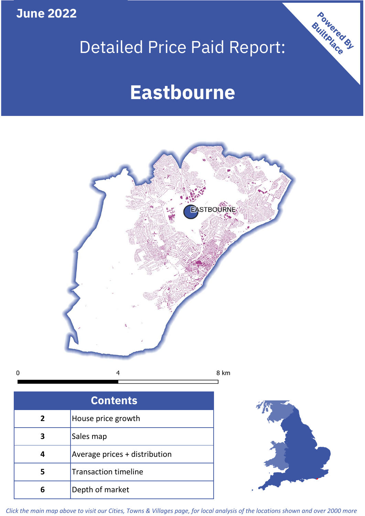**June 2022**

# Detailed Price Paid Report:

# **Eastbourne**



 $\mathbf 0$ 

| <b>Contents</b> |                               |  |  |
|-----------------|-------------------------------|--|--|
| $\overline{2}$  | House price growth            |  |  |
| 3               | Sales map                     |  |  |
|                 | Average prices + distribution |  |  |
|                 | <b>Transaction timeline</b>   |  |  |
| 6               | Depth of market               |  |  |



Powered By

*Click the main map above to visit our Cities, Towns & Villages page, for local analysis of the locations shown and over 2000 more*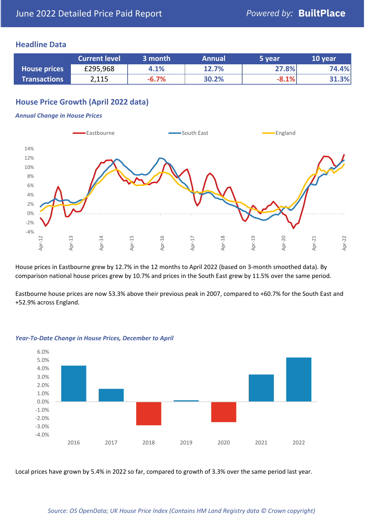## **Headline Data**

|                     | <b>Current level</b> | 3 month | <b>Annual</b> | 5 year  | 10 year |
|---------------------|----------------------|---------|---------------|---------|---------|
| <b>House prices</b> | £295,968             | 4.1%    | 12.7%         | 27.8%   | 74.4%   |
| <b>Transactions</b> | 2,115                | $-6.7%$ | 30.2%         | $-8.1%$ | 31.3%   |

# **House Price Growth (April 2022 data)**

#### *Annual Change in House Prices*



House prices in Eastbourne grew by 12.7% in the 12 months to April 2022 (based on 3-month smoothed data). By comparison national house prices grew by 10.7% and prices in the South East grew by 11.5% over the same period.

Eastbourne house prices are now 53.3% above their previous peak in 2007, compared to +60.7% for the South East and +52.9% across England.



#### *Year-To-Date Change in House Prices, December to April*

Local prices have grown by 5.4% in 2022 so far, compared to growth of 3.3% over the same period last year.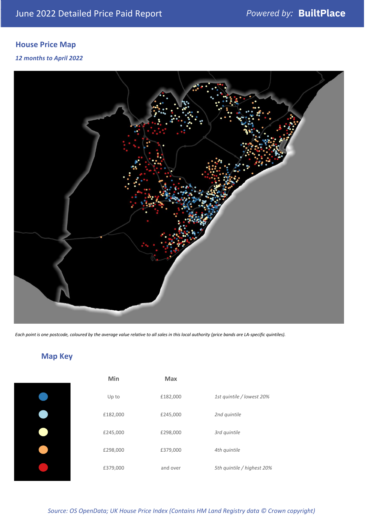# **House Price Map**

### *12 months to April 2022*



*Each point is one postcode, coloured by the average value relative to all sales in this local authority (price bands are LA-specific quintiles).*

**Map Key**

| Min      | <b>Max</b> |                            |
|----------|------------|----------------------------|
| Up to    | £182,000   | 1st quintile / lowest 20%  |
| £182,000 | £245,000   | 2nd quintile               |
| £245,000 | £298,000   | 3rd quintile               |
| £298,000 | £379,000   | 4th quintile               |
| £379,000 | and over   | 5th quintile / highest 20% |

*Source: OS OpenData; UK House Price Index (Contains HM Land Registry data © Crown copyright)*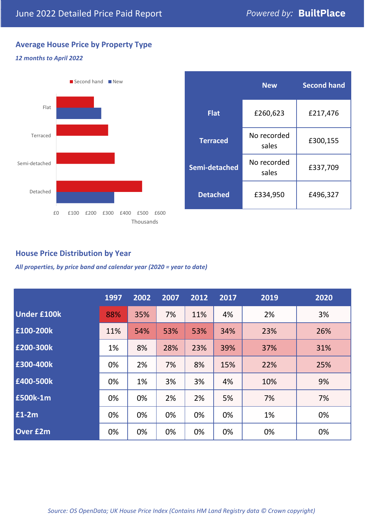# **Average House Price by Property Type**

### *12 months to April 2022*



|                 | <b>New</b>           | <b>Second hand</b> |  |
|-----------------|----------------------|--------------------|--|
| <b>Flat</b>     | £260,623             | £217,476           |  |
| <b>Terraced</b> | No recorded<br>sales | £300,155           |  |
| Semi-detached   | No recorded<br>sales | £337,709           |  |
| <b>Detached</b> | £334,950             | £496,327           |  |

# **House Price Distribution by Year**

*All properties, by price band and calendar year (2020 = year to date)*

|                    | 1997 | 2002 | 2007 | 2012 | 2017 | 2019 | 2020 |
|--------------------|------|------|------|------|------|------|------|
| <b>Under £100k</b> | 88%  | 35%  | 7%   | 11%  | 4%   | 2%   | 3%   |
| £100-200k          | 11%  | 54%  | 53%  | 53%  | 34%  | 23%  | 26%  |
| E200-300k          | 1%   | 8%   | 28%  | 23%  | 39%  | 37%  | 31%  |
| £300-400k          | 0%   | 2%   | 7%   | 8%   | 15%  | 22%  | 25%  |
| £400-500k          | 0%   | 1%   | 3%   | 3%   | 4%   | 10%  | 9%   |
| <b>£500k-1m</b>    | 0%   | 0%   | 2%   | 2%   | 5%   | 7%   | 7%   |
| £1-2m              | 0%   | 0%   | 0%   | 0%   | 0%   | 1%   | 0%   |
| <b>Over £2m</b>    | 0%   | 0%   | 0%   | 0%   | 0%   | 0%   | 0%   |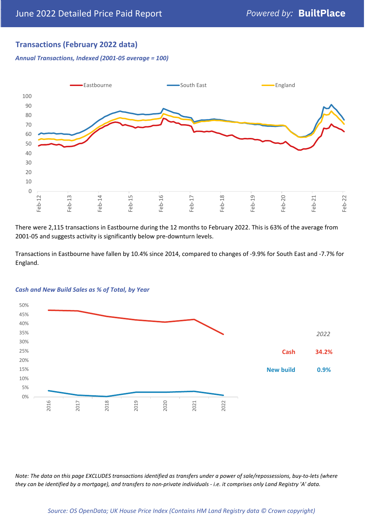# **Transactions (February 2022 data)**

*Annual Transactions, Indexed (2001-05 average = 100)*



There were 2,115 transactions in Eastbourne during the 12 months to February 2022. This is 63% of the average from 2001-05 and suggests activity is significantly below pre-downturn levels.

Transactions in Eastbourne have fallen by 10.4% since 2014, compared to changes of -9.9% for South East and -7.7% for England.



#### *Cash and New Build Sales as % of Total, by Year*

*Note: The data on this page EXCLUDES transactions identified as transfers under a power of sale/repossessions, buy-to-lets (where they can be identified by a mortgage), and transfers to non-private individuals - i.e. it comprises only Land Registry 'A' data.*